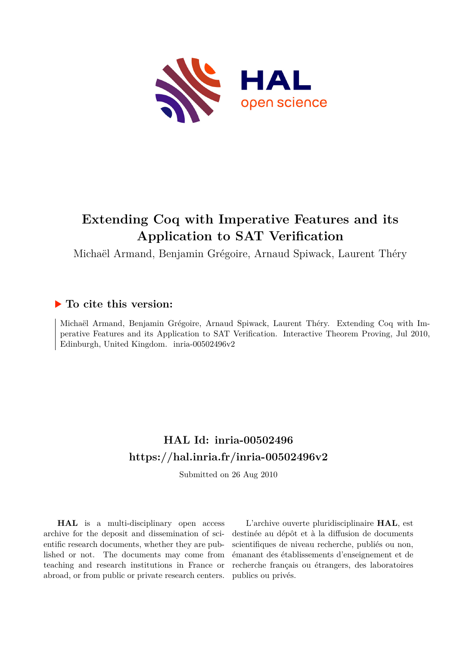

# **Extending Coq with Imperative Features and its Application to SAT Verification**

Michaël Armand, Benjamin Grégoire, Arnaud Spiwack, Laurent Théry

# **To cite this version:**

Michaël Armand, Benjamin Grégoire, Arnaud Spiwack, Laurent Théry. Extending Coq with Imperative Features and its Application to SAT Verification. Interactive Theorem Proving, Jul 2010, Edinburgh, United Kingdom. inria-00502496v2

# **HAL Id: inria-00502496 <https://hal.inria.fr/inria-00502496v2>**

Submitted on 26 Aug 2010

**HAL** is a multi-disciplinary open access archive for the deposit and dissemination of scientific research documents, whether they are published or not. The documents may come from teaching and research institutions in France or abroad, or from public or private research centers.

L'archive ouverte pluridisciplinaire **HAL**, est destinée au dépôt et à la diffusion de documents scientifiques de niveau recherche, publiés ou non, émanant des établissements d'enseignement et de recherche français ou étrangers, des laboratoires publics ou privés.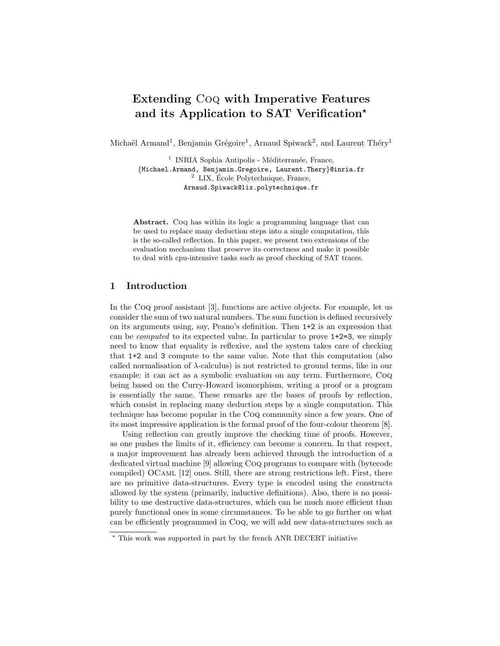# Extending Coq with Imperative Features and its Application to SAT Verification<sup>\*</sup>

Michaël Armand<sup>1</sup>, Benjamin Grégoire<sup>1</sup>, Arnaud Spiwack<sup>2</sup>, and Laurent Théry<sup>1</sup>

<sup>1</sup> INRIA Sophia Antipolis - Méditerranée, France, {Michael.Armand, Benjamin.Gregoire, Laurent.Thery}@inria.fr  $2$  LIX, École Polytechnique, France, Arnaud.Spiwack@lix.polytechnique.fr

Abstract. Coq has within its logic a programming language that can be used to replace many deduction steps into a single computation, this is the so-called reflection. In this paper, we present two extensions of the evaluation mechanism that preserve its correctness and make it possible to deal with cpu-intensive tasks such as proof checking of SAT traces.

### 1 Introduction

In the Coq proof assistant [3], functions are active objects. For example, let us consider the sum of two natural numbers. The sum function is defined recursively on its arguments using, say, Peano's definition. Then 1+2 is an expression that can be computed to its expected value. In particular to prove 1+2=3, we simply need to know that equality is reflexive, and the system takes care of checking that 1+2 and 3 compute to the same value. Note that this computation (also called normalisation of λ-calculus) is not restricted to ground terms, like in our example: it can act as a symbolic evaluation on any term. Furthermore, Coq being based on the Curry-Howard isomorphism, writing a proof or a program is essentially the same. These remarks are the bases of proofs by reflection, which consist in replacing many deduction steps by a single computation. This technique has become popular in the Coq community since a few years. One of its most impressive application is the formal proof of the four-colour theorem [8].

Using reflection can greatly improve the checking time of proofs. However, as one pushes the limits of it, efficiency can become a concern. In that respect, a major improvement has already been achieved through the introduction of a dedicated virtual machine [9] allowing Coq programs to compare with (bytecode compiled) OCaml [12] ones. Still, there are strong restrictions left. First, there are no primitive data-structures. Every type is encoded using the constructs allowed by the system (primarily, inductive definitions). Also, there is no possibility to use destructive data-structures, which can be much more efficient than purely functional ones in some circumstances. To be able to go further on what can be efficiently programmed in Coq, we will add new data-structures such as

 $*$  This work was supported in part by the french ANR DECERT initiative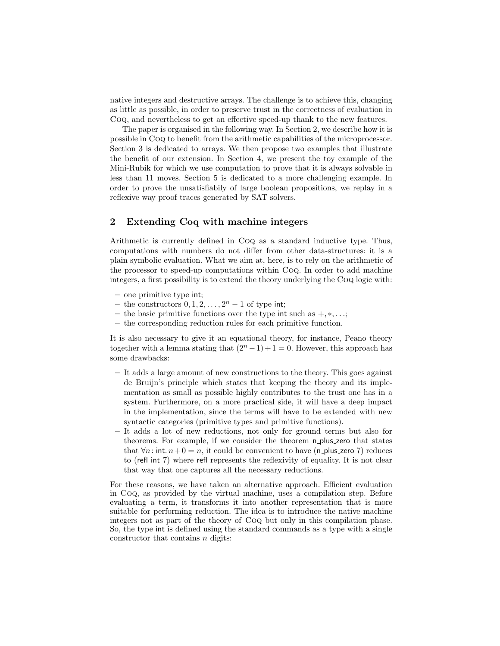native integers and destructive arrays. The challenge is to achieve this, changing as little as possible, in order to preserve trust in the correctness of evaluation in Coq, and nevertheless to get an effective speed-up thank to the new features.

The paper is organised in the following way. In Section 2, we describe how it is possible in Coq to benefit from the arithmetic capabilities of the microprocessor. Section 3 is dedicated to arrays. We then propose two examples that illustrate the benefit of our extension. In Section 4, we present the toy example of the Mini-Rubik for which we use computation to prove that it is always solvable in less than 11 moves. Section 5 is dedicated to a more challenging example. In order to prove the unsatisfiabily of large boolean propositions, we replay in a reflexive way proof traces generated by SAT solvers.

# 2 Extending Coq with machine integers

Arithmetic is currently defined in Coq as a standard inductive type. Thus, computations with numbers do not differ from other data-structures: it is a plain symbolic evaluation. What we aim at, here, is to rely on the arithmetic of the processor to speed-up computations within Coq. In order to add machine integers, a first possibility is to extend the theory underlying the Coq logic with:

- one primitive type int;
- the constructors  $0, 1, 2, \ldots, 2<sup>n</sup> 1$  of type int;
- the basic primitive functions over the type int such as  $+, *, \ldots;$
- the corresponding reduction rules for each primitive function.

It is also necessary to give it an equational theory, for instance, Peano theory together with a lemma stating that  $(2^{n}-1)+1=0$ . However, this approach has some drawbacks:

- It adds a large amount of new constructions to the theory. This goes against de Bruijn's principle which states that keeping the theory and its implementation as small as possible highly contributes to the trust one has in a system. Furthermore, on a more practical side, it will have a deep impact in the implementation, since the terms will have to be extended with new syntactic categories (primitive types and primitive functions).
- It adds a lot of new reductions, not only for ground terms but also for theorems. For example, if we consider the theorem n plus zero that states that  $\forall n:$  int.  $n+0=n$ , it could be convenient to have (n\_plus\_zero 7) reduces to (refl int 7) where refl represents the reflexivity of equality. It is not clear that way that one captures all the necessary reductions.

For these reasons, we have taken an alternative approach. Efficient evaluation in Coq, as provided by the virtual machine, uses a compilation step. Before evaluating a term, it transforms it into another representation that is more suitable for performing reduction. The idea is to introduce the native machine integers not as part of the theory of Coq but only in this compilation phase. So, the type int is defined using the standard commands as a type with a single constructor that contains n digits: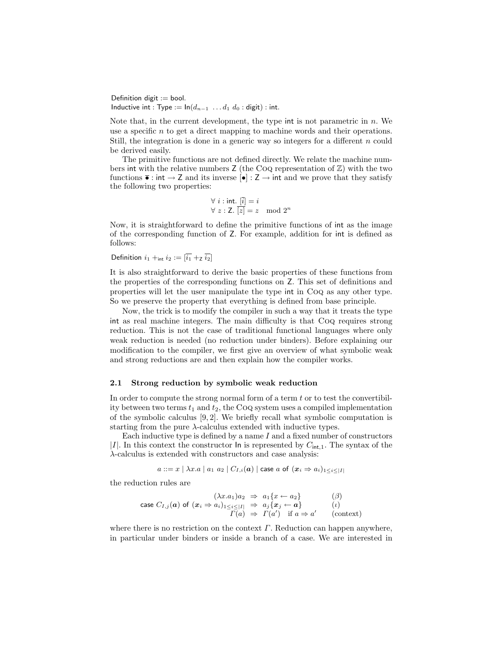Definition digit  $:=$  bool. Inductive int : Type :=  $\ln(d_{n-1} \ldots d_1 d_0 :$  digit) : int.

Note that, in the current development, the type int is not parametric in  $n$ . We use a specific n to get a direct mapping to machine words and their operations. Still, the integration is done in a generic way so integers for a different n could be derived easily.

The primitive functions are not defined directly. We relate the machine numbers int with the relative numbers  $Z$  (the CoQ representation of  $Z$ ) with the two functions  $\overline{\bullet}$  : int  $\rightarrow$  Z and its inverse  $[\bullet]$  : Z  $\rightarrow$  int and we prove that they satisfy the following two properties:

$$
\forall i : \text{int.} \; \overline{[i]} = i
$$
  

$$
\forall z : \mathbf{Z}. \; \overline{[z]} = z \mod 2^n
$$

Now, it is straightforward to define the primitive functions of int as the image of the corresponding function of Z. For example, addition for int is defined as follows:

# Definition  $i_1 +_{int} i_2 := [\overline{i_1} +_Z \overline{i_2}]$

It is also straightforward to derive the basic properties of these functions from the properties of the corresponding functions on Z. This set of definitions and properties will let the user manipulate the type int in Coq as any other type. So we preserve the property that everything is defined from base principle.

Now, the trick is to modify the compiler in such a way that it treats the type int as real machine integers. The main difficulty is that Coq requires strong reduction. This is not the case of traditional functional languages where only weak reduction is needed (no reduction under binders). Before explaining our modification to the compiler, we first give an overview of what symbolic weak and strong reductions are and then explain how the compiler works.

#### 2.1 Strong reduction by symbolic weak reduction

In order to compute the strong normal form of a term  $t$  or to test the convertibility between two terms  $t_1$  and  $t_2$ , the CoQ system uses a compiled implementation of the symbolic calculus [9, 2]. We briefly recall what symbolic computation is starting from the pure  $\lambda$ -calculus extended with inductive types.

Each inductive type is defined by a name  $I$  and a fixed number of constructors |I|. In this context the constructor  $\ln$  is represented by  $C_{\text{int},1}$ . The syntax of the λ-calculus is extended with constructors and case analysis:

$$
a ::= x \mid \lambda x. a \mid a_1 \ a_2 \mid C_{I,i}(a) \mid \text{case } a \text{ of } (x_i \Rightarrow a_i)_{1 \leq i \leq |I|}
$$

the reduction rules are

$$
(\lambda x.a_1)a_2 \Rightarrow a_1\{x \leftarrow a_2\} \qquad (\beta)
$$
  
\n
$$
\text{case } C_{I,j}(a) \text{ of } (x_i \Rightarrow a_i)_{1 \leq i \leq |I|} \Rightarrow a_j\{x_j \leftarrow a\} \qquad (\iota)
$$
  
\n
$$
\Gamma(a) \Rightarrow \Gamma(a') \text{ if } a \Rightarrow a' \qquad (\text{context})
$$

where there is no restriction on the context  $\Gamma$ . Reduction can happen anywhere, in particular under binders or inside a branch of a case. We are interested in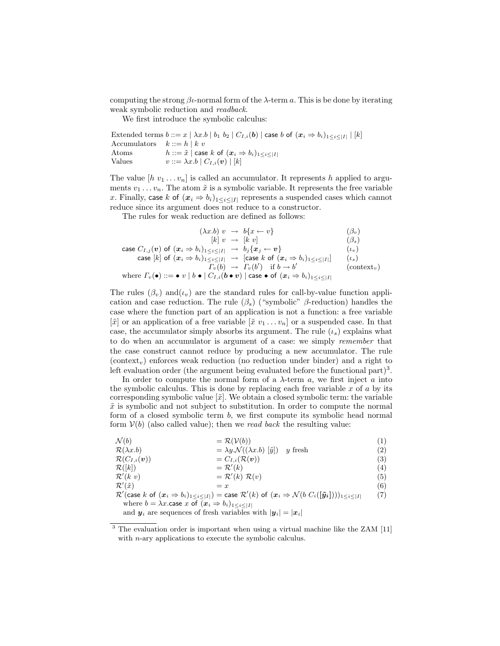computing the strong  $\beta\iota$ -normal form of the  $\lambda$ -term a. This is be done by iterating weak symbolic reduction and readback.

We first introduce the symbolic calculus:

|                              | Extended terms $b ::= x   \lambda x.b   b_1 b_2   C_{I,i}(b)  $ case b of $(x_i \Rightarrow b_i)_{1 \leq i \leq  I }   [k]$ |
|------------------------------|-----------------------------------------------------------------------------------------------------------------------------|
| Accumulators $k ::= h   k v$ |                                                                                                                             |
| Atoms                        | $h ::= \tilde{x} \mid \text{case } k \text{ of } (x_i \Rightarrow b_i)_{1 \leq i \leq  I }$                                 |
| Values                       | $v ::= \lambda x.b \mid C_{L,i}(v) \mid [k]$                                                                                |

The value  $[h \ v_1 \dots v_n]$  is called an accumulator. It represents h applied to arguments  $v_1 \ldots v_n$ . The atom  $\tilde{x}$  is a symbolic variable. It represents the free variable x. Finally, case k of  $(x_i \Rightarrow b_i)_{1 \leq i \leq |I|}$  represents a suspended cases which cannot reduce since its argument does not reduce to a constructor.

The rules for weak reduction are defined as follows:

$$
(\lambda x.b) \quad v \rightarrow b\{x \leftarrow v\} \qquad (\beta_v)
$$
\n
$$
[k] \quad v \rightarrow [k] \quad (\beta_s)
$$
\n
$$
\text{case } C_{I,j}(v) \text{ of } (x_i \Rightarrow b_i)_{1 \leq i \leq |I|} \rightarrow b_j\{x_j \leftarrow v\} \qquad (b_s)
$$
\n
$$
\text{case } [k] \text{ of } (x_i \Rightarrow b_i)_{1 \leq i \leq |I|} \rightarrow [\text{case } k \text{ of } (x_i \Rightarrow b_i)_{1 \leq i \leq |I|}] \qquad (b_s)
$$
\n
$$
\Gamma_v(b) \rightarrow \Gamma_v(b') \quad \text{if } b \rightarrow b' \qquad (\text{context}_v)
$$
\n
$$
\text{where } \Gamma_v(\bullet) ::= \bullet v \mid b \bullet | C_{I,i}(b \bullet v) | \text{ case } \bullet \text{ of } (x_i \Rightarrow b_i)_{1 \leq i \leq |I|}
$$

The rules  $(\beta_v)$  and  $(\iota_v)$  are the standard rules for call-by-value function application and case reduction. The rule  $(\beta_s)$  ("symbolic" β-reduction) handles the case where the function part of an application is not a function: a free variable  $[\tilde{x}]$  or an application of a free variable  $[\tilde{x} v_1 ... v_n]$  or a suspended case. In that case, the accumulator simply absorbs its argument. The rule  $(\iota_s)$  explains what to do when an accumulator is argument of a case: we simply remember that the case construct cannot reduce by producing a new accumulator. The rule (context<sub>n</sub>) enforces weak reduction (no reduction under binder) and a right to left evaluation order (the argument being evaluated before the functional part)<sup>3</sup>.

In order to compute the normal form of a  $\lambda$ -term a, we first inject a into the symbolic calculus. This is done by replacing each free variable  $x$  of  $a$  by its corresponding symbolic value  $[\tilde{x}]$ . We obtain a closed symbolic term: the variable  $\tilde{x}$  is symbolic and not subject to substitution. In order to compute the normal form of a closed symbolic term b, we first compute its symbolic head normal form  $V(b)$  (also called value); then we read back the resulting value:

$$
\mathcal{N}(b) = \mathcal{R}(\mathcal{V}(b))
$$
\n
$$
= \mathcal{R}(\mathcal{V}(b))
$$
\n
$$
= \lambda y \cdot \mathcal{N}((\lambda x.b) [\tilde{y}]) \quad y \text{ fresh}
$$
\n(1)\n(2)

$$
\mathcal{R}(C_{I,i}(\boldsymbol{v})) = C_{I,i}(\mathcal{R}(\boldsymbol{v})) \tag{3}
$$

$$
\mathcal{R}([k]) \tag{4}
$$

$$
\mathcal{R}'(k\ v)\qquad \qquad =\mathcal{R}'(k)\ \mathcal{R}(v)\tag{5}
$$

$$
\mathcal{R}'(\tilde{x}) = x \tag{6}
$$
\n
$$
\mathcal{R}'(x) = \frac{1}{2} \int_{-\infty}^{\infty} f(x) \cdot f(x) \cdot \mathcal{R}'(x) \cdot \mathcal{R}'(x) \cdot \mathcal{R}'(x) \cdot \mathcal{R}'(x) \cdot \mathcal{R}'(x) \cdot \mathcal{R}'(x) \cdot \mathcal{R}'(x) \cdot \mathcal{R}'(x) \cdot \mathcal{R}'(x) \cdot \mathcal{R}'(x) \cdot \mathcal{R}'(x) \cdot \mathcal{R}'(x) \cdot \mathcal{R}'(x) \cdot \mathcal{R}'(x) \cdot \mathcal{R}'(x) \cdot \mathcal{R}'(x) \cdot \mathcal{R}'(x) \cdot \mathcal{R}'(x) \cdot \mathcal{R}'(x) \cdot \mathcal{R}'(x) \cdot \mathcal{R}'(x) \cdot \mathcal{R}'(x) \cdot \mathcal{R}'(x) \cdot \mathcal{R}'(x) \cdot \mathcal{R}'(x) \cdot \mathcal{R}'(x) \cdot \mathcal{R}'(x) \cdot \mathcal{R}'(x) \cdot \mathcal{R}'(x) \cdot \mathcal{R}'(x) \cdot \mathcal{R}'(x) \cdot \mathcal{R}'(x) \cdot \mathcal{R}'(x) \cdot \mathcal{R}'(x) \cdot \mathcal{R}'(x) \cdot \mathcal{R}'(x) \cdot \mathcal{R}'(x) \cdot \mathcal{R}'(x) \cdot \mathcal{R}'(x) \cdot \mathcal{R}'(x) \cdot \mathcal{R}'(x) \cdot \mathcal{R}'(x) \cdot \mathcal{R}'(x) \cdot \mathcal{R}'(x) \cdot \mathcal{R}'(x) \cdot \mathcal{R}'(x) \cdot \mathcal{R}'(x) \cdot \mathcal{R}'(x) \cdot \mathcal{R}'(x) \cdot \mathcal{R}'(x) \cdot \mathcal{R}'(x) \cdot \mathcal{R}'(x) \cdot \mathcal{R}'(x) \cdot \mathcal{R}'(x) \cdot \mathcal{R}'(x) \cdot \mathcal{R}'(x) \cdot \mathcal{R}'(x) \cdot \mathcal{R}'(x) \cdot \mathcal{R}'(x) \cdot \mathcal{R}'(x) \cdot \mathcal{R}'(x) \cdot \mathcal{R}'(x) \cdot \mathcal{R}'(x) \cdot \math
$$

$$
\mathcal{R}'(\text{case } k \text{ of } (x_i \Rightarrow b_i)_{1 \leq i \leq |I|}) = \text{case } \mathcal{R}'(k) \text{ of } (x_i \Rightarrow \mathcal{N}(b \ C_i([\tilde{y}_i]))_{1 \leq i \leq |I|})
$$
\n
$$
\text{where } b = \lambda x.\text{case } x \text{ of } (x_i \Rightarrow b_i)_{1 \leq i \leq |I|}
$$
\n(7)

and  $y_i$  are sequences of fresh variables with  $|y_i| = |x_i|$ 

 $3$  The evaluation order is important when using a virtual machine like the ZAM [11] with *n*-ary applications to execute the symbolic calculus.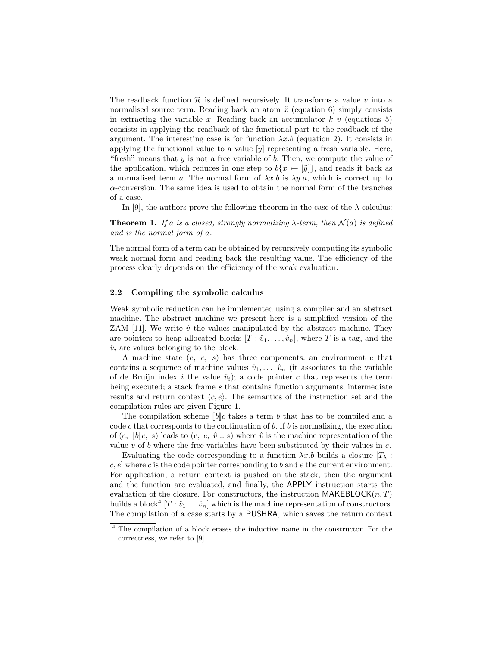The readback function  $\mathcal R$  is defined recursively. It transforms a value v into a normalised source term. Reading back an atom  $\tilde{x}$  (equation 6) simply consists in extracting the variable x. Reading back an accumulator  $k \, v$  (equations 5) consists in applying the readback of the functional part to the readback of the argument. The interesting case is for function  $\lambda x.b$  (equation 2). It consists in applying the functional value to a value  $\left[\tilde{y}\right]$  representing a fresh variable. Here, "fresh" means that  $y$  is not a free variable of  $b$ . Then, we compute the value of the application, which reduces in one step to  $b\{x \leftarrow [\tilde{y}]\}$ , and reads it back as a normalised term a. The normal form of  $\lambda x.b$  is  $\lambda y.a$ , which is correct up to  $\alpha$ -conversion. The same idea is used to obtain the normal form of the branches of a case.

In [9], the authors prove the following theorem in the case of the  $\lambda$ -calculus:

**Theorem 1.** If a is a closed, strongly normalizing  $\lambda$ -term, then  $\mathcal{N}(a)$  is defined and is the normal form of a.

The normal form of a term can be obtained by recursively computing its symbolic weak normal form and reading back the resulting value. The efficiency of the process clearly depends on the efficiency of the weak evaluation.

#### 2.2 Compiling the symbolic calculus

Weak symbolic reduction can be implemented using a compiler and an abstract machine. The abstract machine we present here is a simplified version of the ZAM [11]. We write  $\hat{v}$  the values manipulated by the abstract machine. They are pointers to heap allocated blocks  $[T : \hat{v}_1, \ldots, \hat{v}_n]$ , where T is a tag, and the  $\hat{v}_i$  are values belonging to the block.

A machine state  $(e, c, s)$  has three components: an environment  $e$  that contains a sequence of machine values  $\hat{v}_1, \ldots, \hat{v}_n$  (it associates to the variable of de Bruijn index i the value  $\hat{v}_i$ ); a code pointer c that represents the term being executed; a stack frame s that contains function arguments, intermediate results and return context  $\langle c, e \rangle$ . The semantics of the instruction set and the compilation rules are given Figure 1.

The compilation scheme  $[b]c$  takes a term b that has to be compiled and a code c that corresponds to the continuation of b. If b is normalising, the execution of  $(e, [b]c, s)$  leads to  $(e, c, \hat{v}:: s)$  where  $\hat{v}$  is the machine representation of the value v of b where the free variables have been substituted by their values in  $e$ .

Evaluating the code corresponding to a function  $\lambda x.b$  builds a closure  $[T_\lambda :$  $c, e$  where c is the code pointer corresponding to b and e the current environment. For application, a return context is pushed on the stack, then the argument and the function are evaluated, and finally, the APPLY instruction starts the evaluation of the closure. For constructors, the instruction MAKEBLOCK $(n, T)$ builds a block<sup>4</sup>  $[T : \hat{v}_1 \dots \hat{v}_n]$  which is the machine representation of constructors. The compilation of a case starts by a PUSHRA, which saves the return context

<sup>4</sup> The compilation of a block erases the inductive name in the constructor. For the correctness, we refer to [9].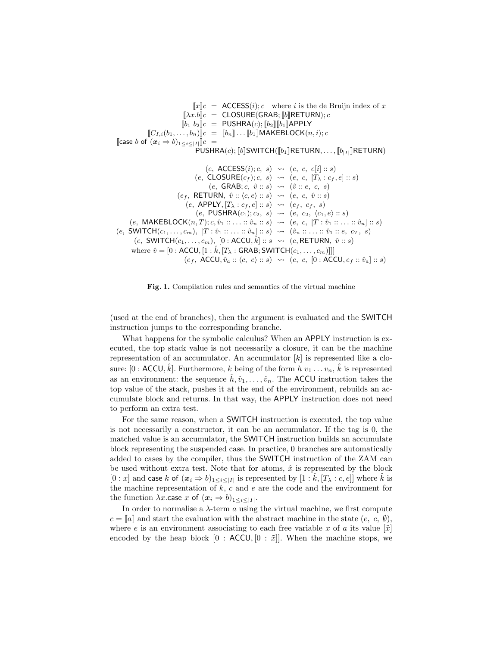$\llbracket x \rrbracket c = \text{ACCESS}(i); c \text{ where } i \text{ is the de Bruijn index of } x$  $[\lambda x.b]c = \text{CLOSURE}(\text{GRAB}; [b] \text{RETURN}); c$  $[|b_1 \; b_2]c =$  PUSHRA $(c)$ ;  $[|b_2|]$  $[|b_1|$ APPLY  $[[C_{I,i}(b_1,\ldots,b_n)]]c = [[b_n] \ldots [[b_1]]$ MAKEBLOCK $(n,i); c$ [case  $b$  of  $(\boldsymbol{x}_i \Rightarrow b)_{1 \leq i \leq |I|}]c$  =  $\mathsf{PUSHRA}(c); \llbracket b \rrbracket \mathsf{SWITCH}(\llbracket b_1 \rrbracket \mathsf{RETURN}, \ldots, \llbracket b_{|I|} \rrbracket \mathsf{RETURN})$  $(e, \; \text{ACCESS}(i); c, \; s) \; \rightsquigarrow \; (e, \; c, \; e[i] \, \text{:}: s)$  $(e, \text{CLOSURE}(c_f); c, s) \rightsquigarrow (e, c, [T_\lambda : c_f, e] :: s)$  $(e, \text{ GRAB}; c, \hat{v}:: s) \rightsquigarrow (\hat{v}:: e, c, s)$  $(e_f, \text{ RETURN}, \hat{v} :: \langle c, e \rangle :: s) \rightsquigarrow (e, c, \hat{v} :: s)$  $(e, \text{ APPLY}, [T_\lambda : c_f, e] :: s) \rightsquigarrow (e_f, c_f, s)$  $(e, \text{PUSHRA}(c_1); c_2, s) \rightsquigarrow (e, c_2, \langle c_1, e \rangle :: s)$  $(e, \text{ MAKEBLOCK}(n, T); c, \hat{v}_1 :: \ldots :: \hat{v}_n :: s) \rightsquigarrow (e, c, [T : \hat{v}_1 :: \ldots :: \hat{v}_n] :: s)$  $(e, \textsf{SWITCH}(c_1, \ldots, c_m), [T : \hat{v}_1 : \ldots : : \hat{v}_n] : s) \rightsquigarrow (\hat{v}_n : \ldots : : \hat{v}_1 : : e, c_T, s)$  $(e, \text{SWITCH}(c_1, \ldots, c_m), [0: \text{ACCU}, \hat{k}] :: s \rightsquigarrow (e, \text{RETURN}, \hat{v} :: s)$ where  $\hat{v} = [0 : \text{ACCU}, [1 : \hat{k}, [T_{\lambda} : \text{GRAB}; \text{SWITCH}(c_1, \ldots, c_m)]]]$  $(e_f, \; \mathsf{ACCU}, \hat{v}_a::\langle c, \; e\rangle::s) \;\; \leadsto \;\; (e, \; c, \; [0:\mathsf{ACCU}, e_f::\hat{v}_a]::s)$ 

Fig. 1. Compilation rules and semantics of the virtual machine

(used at the end of branches), then the argument is evaluated and the SWITCH instruction jumps to the corresponding branche.

What happens for the symbolic calculus? When an APPLY instruction is executed, the top stack value is not necessarily a closure, it can be the machine representation of an accumulator. An accumulator  $[k]$  is represented like a closure: [0 : ACCU,  $\hat{k}$ ]. Furthermore,  $k$  being of the form  $h\ v_1 \ldots v_n$ ,  $\hat{k}$  is represented as an environment: the sequence  $\hat{h}, \hat{v}_1, \dots, \hat{v}_n$ . The ACCU instruction takes the top value of the stack, pushes it at the end of the environment, rebuilds an accumulate block and returns. In that way, the APPLY instruction does not need to perform an extra test.

For the same reason, when a SWITCH instruction is executed, the top value is not necessarily a constructor, it can be an accumulator. If the tag is 0, the matched value is an accumulator, the SWITCH instruction builds an accumulate block representing the suspended case. In practice, 0 branches are automatically added to cases by the compiler, thus the SWITCH instruction of the ZAM can be used without extra test. Note that for atoms,  $\hat{x}$  is represented by the block  $[0:x]$  and case k of  $(x_i \Rightarrow b)_{1\leq i\leq |I|}$  is represented by  $[1:\hat{k}, [T_\lambda:c,e]]$  where  $\hat{k}$  is the machine representation of  $k$ ,  $c$  and  $e$  are the code and the environment for the function  $\lambda x$  case x of  $(\boldsymbol{x}_i \Rightarrow b)_{1 \leq i \leq |I|}$ .

In order to normalise a  $\lambda$ -term a using the virtual machine, we first compute  $c = \llbracket a \rrbracket$  and start the evaluation with the abstract machine in the state  $(e, c, \emptyset)$ , where e is an environment associating to each free variable x of a its value  $[\tilde{x}]$ encoded by the heap block  $[0 : ACCU, [0 : \tilde{x}]]$ . When the machine stops, we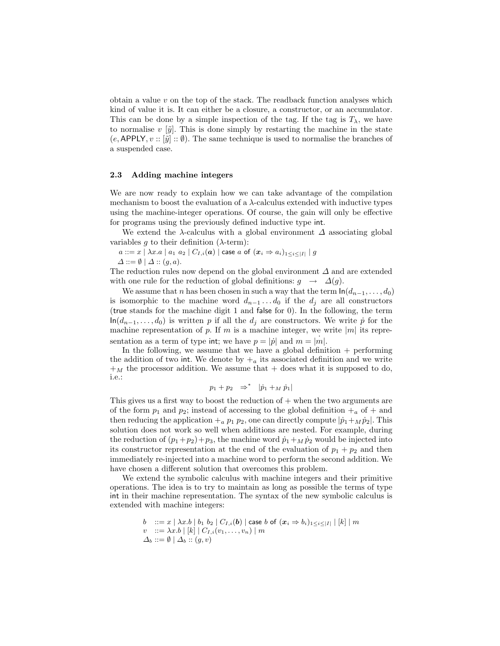obtain a value  $v$  on the top of the stack. The readback function analyses which kind of value it is. It can either be a closure, a constructor, or an accumulator. This can be done by a simple inspection of the tag. If the tag is  $T_{\lambda}$ , we have to normalise  $v[\tilde{y}]$ . This is done simply by restarting the machine in the state  $(e, \text{APPLY}, v : [\tilde{y}] : \emptyset)$ . The same technique is used to normalise the branches of a suspended case.

#### 2.3 Adding machine integers

We are now ready to explain how we can take advantage of the compilation mechanism to boost the evaluation of a  $\lambda$ -calculus extended with inductive types using the machine-integer operations. Of course, the gain will only be effective for programs using the previously defined inductive type int.

We extend the  $\lambda$ -calculus with a global environment  $\Delta$  associating global variables g to their definition ( $\lambda$ -term):

 $a ::= x\mid \lambda x.a\mid a_1\; a_2 \mid C_{I,i}(\boldsymbol{a}) \mid$  case  $a$  of  $(\boldsymbol{x}_i \Rightarrow a_i)_{1\leq i \leq |I|}\mid g$ 

 $\Delta ::= \emptyset \mid \Delta :: (q, a).$ 

The reduction rules now depend on the global environment  $\Delta$  and are extended with one rule for the reduction of global definitions:  $g \rightarrow \Delta(g)$ .

We assume that n has been chosen in such a way that the term  $\ln(d_{n-1}, \ldots, d_0)$ is isomorphic to the machine word  $d_{n-1} \ldots d_0$  if the  $d_i$  are all constructors (true stands for the machine digit 1 and false for 0). In the following, the term  $\ln(d_{n-1},\ldots,d_0)$  is written p if all the  $d_i$  are constructors. We write p for the machine representation of p. If m is a machine integer, we write  $|m|$  its representation as a term of type int; we have  $p = |\dot{p}|$  and  $m = |\dot{m}|$ .

In the following, we assume that we have a global definition  $+$  performing the addition of two int. We denote by  $+_a$  its associated definition and we write  $+\overline{M}$  the processor addition. We assume that  $+\overline{A}$  does what it is supposed to do, i.e.:

$$
p_1 + p_2 \Rightarrow^* |\dot{p}_1 +_M \dot{p}_1|
$$

This gives us a first way to boost the reduction of  $+$  when the two arguments are of the form  $p_1$  and  $p_2$ ; instead of accessing to the global definition  $a_4$  of  $a_1$  and then reducing the application  $a_1 p_1 p_2$ , one can directly compute  $|p_1 +_M p_2|$ . This solution does not work so well when additions are nested. For example, during the reduction of  $(p_1+p_2)+p_3$ , the machine word  $\dot{p}_1+p_2$  would be injected into its constructor representation at the end of the evaluation of  $p_1 + p_2$  and then immediately re-injected into a machine word to perform the second addition. We have chosen a different solution that overcomes this problem.

We extend the symbolic calculus with machine integers and their primitive operations. The idea is to try to maintain as long as possible the terms of type int in their machine representation. The syntax of the new symbolic calculus is extended with machine integers:

$$
b ::= x \mid \lambda x.b \mid b_1 \mid b_2 \mid C_{I,i}(\mathbf{b}) \mid \text{case } b \text{ of } (\mathbf{x}_i \Rightarrow b_i)_{1 \leq i \leq |I|} \mid [k] \mid m
$$
  

$$
v ::= \lambda x.b \mid [k] \mid C_{I,i}(v_1, \ldots, v_n) \mid m
$$
  

$$
\Delta_b ::= \emptyset \mid \Delta_b ::= (g, v)
$$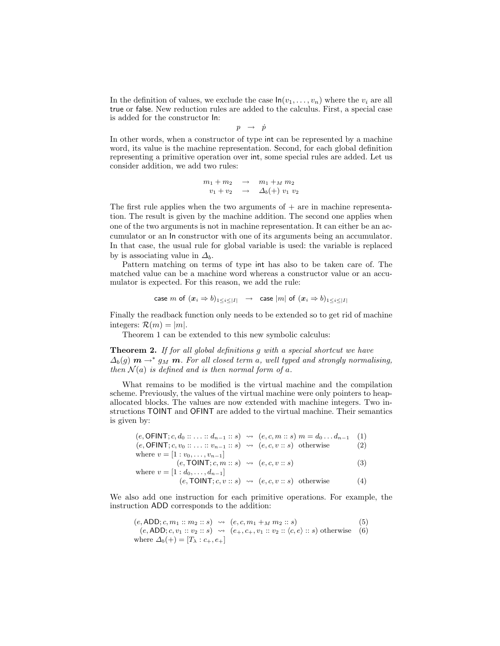In the definition of values, we exclude the case  $\ln(v_1, \ldots, v_n)$  where the  $v_i$  are all true or false. New reduction rules are added to the calculus. First, a special case is added for the constructor In:

 $p \rightarrow \dot{p}$ 

In other words, when a constructor of type int can be represented by a machine word, its value is the machine representation. Second, for each global definition representing a primitive operation over int, some special rules are added. Let us consider addition, we add two rules:

$$
m_1 + m_2 \rightarrow m_1 +_M m_2
$$
  

$$
v_1 + v_2 \rightarrow \Delta_b(+) v_1 v_2
$$

The first rule applies when the two arguments of  $+$  are in machine representation. The result is given by the machine addition. The second one applies when one of the two arguments is not in machine representation. It can either be an accumulator or an In constructor with one of its arguments being an accumulator. In that case, the usual rule for global variable is used: the variable is replaced by is associating value in  $\Delta_b$ .

Pattern matching on terms of type int has also to be taken care of. The matched value can be a machine word whereas a constructor value or an accumulator is expected. For this reason, we add the rule:

case *m* of 
$$
(x_i \Rightarrow b)_{1 \leq i \leq |I|} \rightarrow
$$
 case  $|m|$  of  $(x_i \Rightarrow b)_{1 \leq i \leq |I|}$ 

Finally the readback function only needs to be extended so to get rid of machine integers:  $\mathcal{R}(m) = |m|$ .

Theorem 1 can be extended to this new symbolic calculus:

Theorem 2. If for all global definitions g with a special shortcut we have  $\Delta_b(g)$  m  $\rightarrow^* g_M$  m. For all closed term a, well typed and strongly normalising, then  $\mathcal{N}(a)$  is defined and is then normal form of a.

What remains to be modified is the virtual machine and the compilation scheme. Previously, the values of the virtual machine were only pointers to heapallocated blocks. The values are now extended with machine integers. Two instructions TOINT and OFINT are added to the virtual machine. Their semantics is given by:

$$
(e, \text{OFINT}; c, d_0 :: \dots :: d_{n-1} :: s) \rightsquigarrow (e, c, m :: s) m = d_0 \dots d_{n-1} \quad (1)
$$
\n
$$
(e, \text{OFINT}; c, v_0 :: \dots :: v_{n-1} :: s) \rightsquigarrow (e, c, v :: s) \text{ otherwise} \quad (2)
$$
\n
$$
\text{where } v = [1 : v_0, \dots, v_{n-1}] \quad (e, \text{TOINT}; c, m :: s) \rightsquigarrow (e, c, v :: s) \quad (3)
$$
\n
$$
\text{where } v = [1 : d_0, \dots, d_{n-1}] \quad (e, \text{TOINT}; c, v :: s) \rightsquigarrow (e, c, v :: s) \text{ otherwise} \quad (4)
$$

We also add one instruction for each primitive operations. For example, the instruction ADD corresponds to the addition:

$$
(e, ADD; c, m_1 :: m_2 :: s) \rightsquigarrow (e, c, m_1 +_M m_2 :: s)
$$
  
\n
$$
(e, ADD; c, v_1 :: v_2 :: s) \rightsquigarrow (e_+, c_+, v_1 :: v_2 :: \langle c, e \rangle :: s)
$$
 otherwise (6)  
\nwhere  $\Delta_b(+) = [T_\lambda : c_+, e_+]$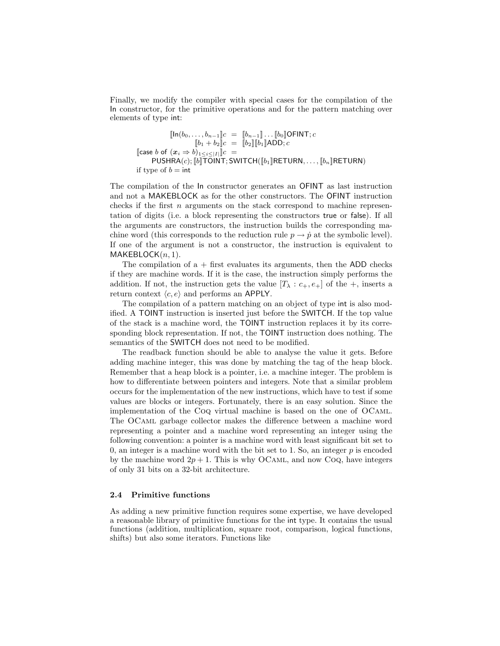Finally, we modify the compiler with special cases for the compilation of the In constructor, for the primitive operations and for the pattern matching over elements of type int:

$$
\begin{array}{rl}\text{[[In}(b_0,\ldots,b_{n-1}]\!c &= [\![b_{n-1}]\!]\ldots [\![b_0]\!] \mathsf{OFINT};c\\ \text{[[}b_1+b_2]\!]c &= [\![b_2]\!]\!]\text{[}b_1]\!\!\!\text{ADD};c\\ \text{[case }b\text{ of }(x_i\Rightarrow b)_{1\leq i\leq |I|}]\!]c &=\\ \text{PUSHRA}(c); \text{[[}b]\!\!\!\text{TOTINT};\text{SWITCH}([\![b_1]\!]\!\!\text{RETURN},\ldots,[\![b_n]\!]\!\!\text{RETURN})\\ \text{if type of }b=\text{int}\end{array}
$$

The compilation of the In constructor generates an OFINT as last instruction and not a MAKEBLOCK as for the other constructors. The OFINT instruction checks if the first  $n$  arguments on the stack correspond to machine representation of digits (i.e. a block representing the constructors true or false). If all the arguments are constructors, the instruction builds the corresponding machine word (this corresponds to the reduction rule  $p \rightarrow \dot{p}$  at the symbolic level). If one of the argument is not a constructor, the instruction is equivalent to  $MAKEBLOCK(n, 1)$ .

The compilation of  $a + first$  evaluates its arguments, then the ADD checks if they are machine words. If it is the case, the instruction simply performs the addition. If not, the instruction gets the value  $[T_{\lambda}:c_{+},e_{+}]$  of the  $+$ , inserts a return context  $\langle c, e \rangle$  and performs an APPLY.

The compilation of a pattern matching on an object of type int is also modified. A TOINT instruction is inserted just before the SWITCH. If the top value of the stack is a machine word, the TOINT instruction replaces it by its corresponding block representation. If not, the TOINT instruction does nothing. The semantics of the SWITCH does not need to be modified.

The readback function should be able to analyse the value it gets. Before adding machine integer, this was done by matching the tag of the heap block. Remember that a heap block is a pointer, i.e. a machine integer. The problem is how to differentiate between pointers and integers. Note that a similar problem occurs for the implementation of the new instructions, which have to test if some values are blocks or integers. Fortunately, there is an easy solution. Since the implementation of the Coq virtual machine is based on the one of OCaml. The OCaml garbage collector makes the difference between a machine word representing a pointer and a machine word representing an integer using the following convention: a pointer is a machine word with least significant bit set to 0, an integer is a machine word with the bit set to 1. So, an integer  $p$  is encoded by the machine word  $2p + 1$ . This is why OCAML, and now CoQ, have integers of only 31 bits on a 32-bit architecture.

#### 2.4 Primitive functions

As adding a new primitive function requires some expertise, we have developed a reasonable library of primitive functions for the int type. It contains the usual functions (addition, multiplication, square root, comparison, logical functions, shifts) but also some iterators. Functions like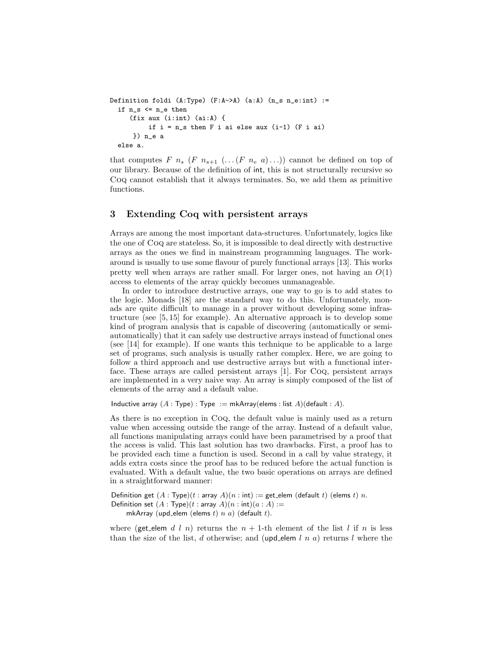```
Definition foldi (A:Type) (F:A->A) (a:A) (n_s n_e):iif n_s \leq n_e then
     (fix aux (i:int) (ai:A) {
         if i = n_s then F i ai else aux (i-1) (F i ai)
      }) n_e a
  else a.
```
that computes F  $n_s$  (F  $n_{s+1}$  (... (F  $n_e$  a)...)) cannot be defined on top of our library. Because of the definition of int, this is not structurally recursive so Coq cannot establish that it always terminates. So, we add them as primitive functions.

# 3 Extending Coq with persistent arrays

Arrays are among the most important data-structures. Unfortunately, logics like the one of Coq are stateless. So, it is impossible to deal directly with destructive arrays as the ones we find in mainstream programming languages. The workaround is usually to use some flavour of purely functional arrays [13]. This works pretty well when arrays are rather small. For larger ones, not having an  $O(1)$ access to elements of the array quickly becomes unmanageable.

In order to introduce destructive arrays, one way to go is to add states to the logic. Monads [18] are the standard way to do this. Unfortunately, monads are quite difficult to manage in a prover without developing some infrastructure (see [5, 15] for example). An alternative approach is to develop some kind of program analysis that is capable of discovering (automatically or semiautomatically) that it can safely use destructive arrays instead of functional ones (see [14] for example). If one wants this technique to be applicable to a large set of programs, such analysis is usually rather complex. Here, we are going to follow a third approach and use destructive arrays but with a functional interface. These arrays are called persistent arrays [1]. For Coq, persistent arrays are implemented in a very naive way. An array is simply composed of the list of elements of the array and a default value.

Inductive array  $(A : Type) : Type := mkArray(elems : list A)(default : A).$ 

As there is no exception in Coq, the default value is mainly used as a return value when accessing outside the range of the array. Instead of a default value, all functions manipulating arrays could have been parametrised by a proof that the access is valid. This last solution has two drawbacks. First, a proof has to be provided each time a function is used. Second in a call by value strategy, it adds extra costs since the proof has to be reduced before the actual function is evaluated. With a default value, the two basic operations on arrays are defined in a straightforward manner:

Definition get  $(A : Type)(t : array A)(n : int) := get$ -elem (default t) (elems t) n. Definition set  $(A : Type)(t : array A)(n : int)(a : A) :=$ mkArray (upd\_elem (elems  $t$ )  $n a$ ) (default  $t$ ).

where (get elem d l n) returns the  $n + 1$ -th element of the list l if n is less than the size of the list, d otherwise; and (upd elem l n a) returns l where the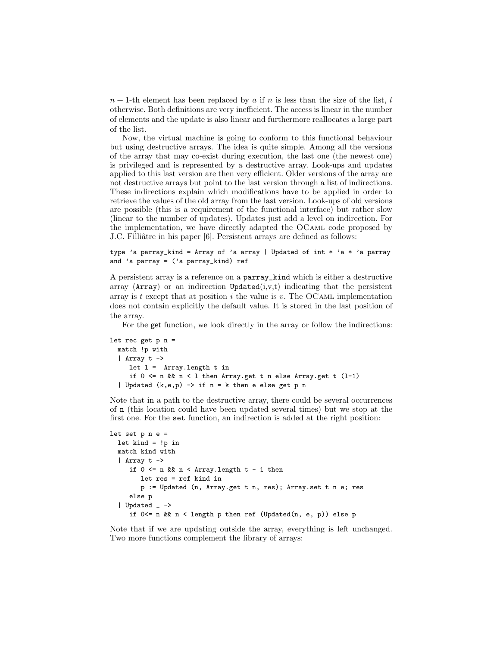$n+1$ -th element has been replaced by a if n is less than the size of the list, l otherwise. Both definitions are very inefficient. The access is linear in the number of elements and the update is also linear and furthermore reallocates a large part of the list.

Now, the virtual machine is going to conform to this functional behaviour but using destructive arrays. The idea is quite simple. Among all the versions of the array that may co-exist during execution, the last one (the newest one) is privileged and is represented by a destructive array. Look-ups and updates applied to this last version are then very efficient. Older versions of the array are not destructive arrays but point to the last version through a list of indirections. These indirections explain which modifications have to be applied in order to retrieve the values of the old array from the last version. Look-ups of old versions are possible (this is a requirement of the functional interface) but rather slow (linear to the number of updates). Updates just add a level on indirection. For the implementation, we have directly adapted the OCaml code proposed by J.C. Filliâtre in his paper [6]. Persistent arrays are defined as follows:

```
type 'a parray_kind = Array of 'a array | Updated of int * 'a * 'a parray
and 'a parray = ('a parray_kind) ref
```
A persistent array is a reference on a parray\_kind which is either a destructive array (Array) or an indirection Updated $(i, v, t)$  indicating that the persistent array is  $t$  except that at position  $i$  the value is  $v$ . The OCAML implementation does not contain explicitly the default value. It is stored in the last position of the array.

For the get function, we look directly in the array or follow the indirections:

```
let rec get p n =match !p with
  | Array t ->
     let 1 = Array.length t inif 0 \leq n && n \leq 1 then Array.get t n else Array.get t (1-1)| Updated (k,e,p) \rightarrow if n = k then e else get p n
```
Note that in a path to the destructive array, there could be several occurrences of n (this location could have been updated several times) but we stop at the first one. For the set function, an indirection is added at the right position:

```
let set p n e =
 let kind = !p in
 match kind with
  | Array t ->
     if 0 \leq n & n \leq Array. length t - 1 then
        let res = ref kind in
        p := Updated (n, Array.get t n, res); Array.set t n e; res
     else p
  | Updated _ ->
     if 0<= n && n < length p then ref (Updated(n, e, p)) else p
```
Note that if we are updating outside the array, everything is left unchanged. Two more functions complement the library of arrays: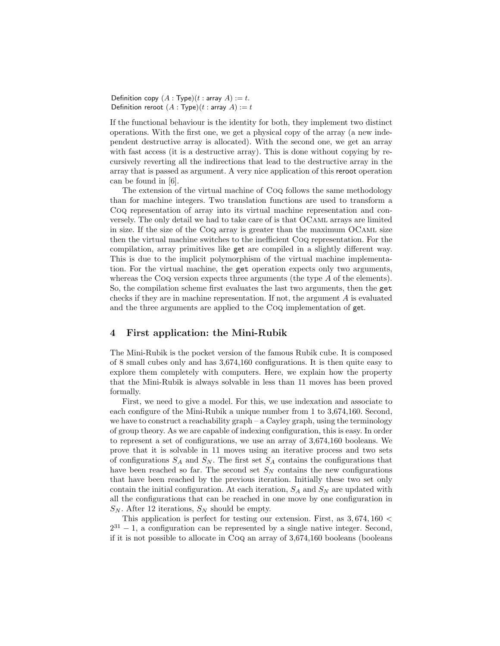Definition copy  $(A : Type)(t : array A) := t$ . Definition reroot  $(A : Type)(t : array A) := t$ 

If the functional behaviour is the identity for both, they implement two distinct operations. With the first one, we get a physical copy of the array (a new independent destructive array is allocated). With the second one, we get an array with fast access (it is a destructive array). This is done without copying by recursively reverting all the indirections that lead to the destructive array in the array that is passed as argument. A very nice application of this reroot operation can be found in [6].

The extension of the virtual machine of Coq follows the same methodology than for machine integers. Two translation functions are used to transform a Coq representation of array into its virtual machine representation and conversely. The only detail we had to take care of is that OCaml arrays are limited in size. If the size of the Coq array is greater than the maximum OCaml size then the virtual machine switches to the inefficient Coq representation. For the compilation, array primitives like get are compiled in a slightly different way. This is due to the implicit polymorphism of the virtual machine implementation. For the virtual machine, the get operation expects only two arguments, whereas the Coq version expects three arguments (the type A of the elements). So, the compilation scheme first evaluates the last two arguments, then the get checks if they are in machine representation. If not, the argument  $A$  is evaluated and the three arguments are applied to the Coq implementation of get.

#### 4 First application: the Mini-Rubik

The Mini-Rubik is the pocket version of the famous Rubik cube. It is composed of 8 small cubes only and has 3,674,160 configurations. It is then quite easy to explore them completely with computers. Here, we explain how the property that the Mini-Rubik is always solvable in less than 11 moves has been proved formally.

First, we need to give a model. For this, we use indexation and associate to each configure of the Mini-Rubik a unique number from 1 to 3,674,160. Second, we have to construct a reachability graph – a Cayley graph, using the terminology of group theory. As we are capable of indexing configuration, this is easy. In order to represent a set of configurations, we use an array of 3,674,160 booleans. We prove that it is solvable in 11 moves using an iterative process and two sets of configurations  $S_A$  and  $S_N$ . The first set  $S_A$  contains the configurations that have been reached so far. The second set  $S_N$  contains the new configurations that have been reached by the previous iteration. Initially these two set only contain the initial configuration. At each iteration,  $S_A$  and  $S_N$  are updated with all the configurations that can be reached in one move by one configuration in  $S_N$ . After 12 iterations,  $S_N$  should be empty.

This application is perfect for testing our extension. First, as  $3,674,160 <$  $2^{31} - 1$ , a configuration can be represented by a single native integer. Second, if it is not possible to allocate in Coq an array of 3,674,160 booleans (booleans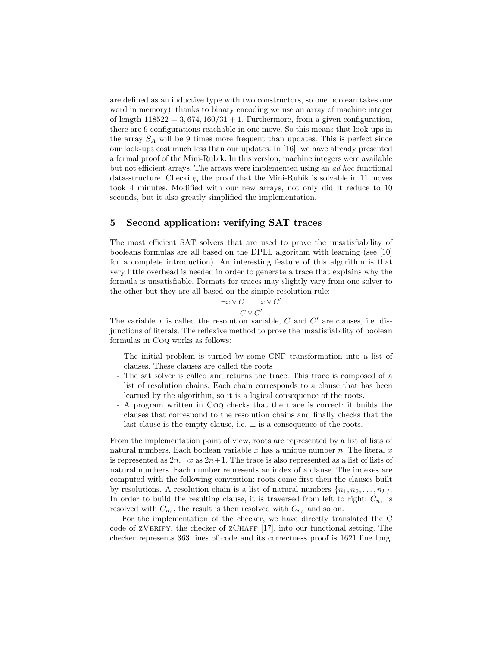are defined as an inductive type with two constructors, so one boolean takes one word in memory), thanks to binary encoding we use an array of machine integer of length  $118522 = 3,674,160/31 + 1$ . Furthermore, from a given configuration, there are 9 configurations reachable in one move. So this means that look-ups in the array  $S_A$  will be 9 times more frequent than updates. This is perfect since our look-ups cost much less than our updates. In [16], we have already presented a formal proof of the Mini-Rubik. In this version, machine integers were available but not efficient arrays. The arrays were implemented using an ad hoc functional data-structure. Checking the proof that the Mini-Rubik is solvable in 11 moves took 4 minutes. Modified with our new arrays, not only did it reduce to 10 seconds, but it also greatly simplified the implementation.

## 5 Second application: verifying SAT traces

The most efficient SAT solvers that are used to prove the unsatisfiability of booleans formulas are all based on the DPLL algorithm with learning (see [10] for a complete introduction). An interesting feature of this algorithm is that very little overhead is needed in order to generate a trace that explains why the formula is unsatisfiable. Formats for traces may slightly vary from one solver to the other but they are all based on the simple resolution rule:

$$
\frac{\neg x \vee C \qquad x \vee C'}{C \vee C'}
$$

The variable  $x$  is called the resolution variable,  $C$  and  $C'$  are clauses, i.e. disjunctions of literals. The reflexive method to prove the unsatisfiability of boolean formulas in Coq works as follows:

- The initial problem is turned by some CNF transformation into a list of clauses. These clauses are called the roots
- The sat solver is called and returns the trace. This trace is composed of a list of resolution chains. Each chain corresponds to a clause that has been learned by the algorithm, so it is a logical consequence of the roots.
- A program written in Coq checks that the trace is correct: it builds the clauses that correspond to the resolution chains and finally checks that the last clause is the empty clause, i.e.  $\perp$  is a consequence of the roots.

From the implementation point of view, roots are represented by a list of lists of natural numbers. Each boolean variable x has a unique number  $n$ . The literal x is represented as  $2n$ ,  $\neg x$  as  $2n+1$ . The trace is also represented as a list of lists of natural numbers. Each number represents an index of a clause. The indexes are computed with the following convention: roots come first then the clauses built by resolutions. A resolution chain is a list of natural numbers  $\{n_1, n_2, \ldots, n_k\}$ . In order to build the resulting clause, it is traversed from left to right:  $C_{n_1}$  is resolved with  $C_{n_2}$ , the result is then resolved with  $C_{n_3}$  and so on.

For the implementation of the checker, we have directly translated the C code of zVERIFY, the checker of zCHAFF [17], into our functional setting. The checker represents 363 lines of code and its correctness proof is 1621 line long.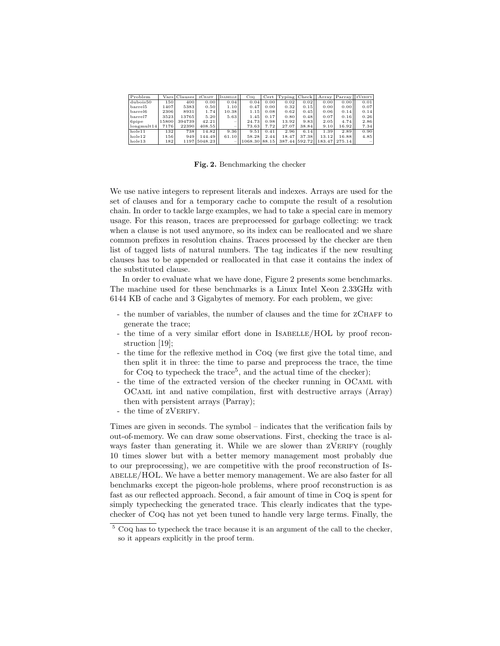| Problem             |       | Vars   Clauses | <b>ZCHAFF</b> | <b>ISABELLE</b>          | Coo           | Cert | Typing Check   Array Parray   ZVERIFY |       |       |                                 |      |
|---------------------|-------|----------------|---------------|--------------------------|---------------|------|---------------------------------------|-------|-------|---------------------------------|------|
| dubois50            | 150   | 400            | 0.00          | 0.04                     | 0.04          | 0.00 | 0.02                                  | 0.02  | 0.00  | 0.00                            | 0.01 |
| barrel5             | 1407  | 5383           | 0.501         | 1.10                     | 0.47          | 0.00 | 0.32                                  | 0.15  | 0.001 | 0.001                           | 0.07 |
| barrel <sub>6</sub> | 2306  | 8931           | 1.74          | 10.38                    | 1.15          | 0.08 | 0.62                                  | 0.45  | 0.06  | 0.14                            | 0.14 |
| barrel7             | 3523  | 13765          | 5.20          | 5.63                     | 1.45          | 0.17 | 0.80                                  | 0.48  | 0.07  | 0.16                            | 0.26 |
| 6pipe               | 15800 | 394739         | 42.21         | $\overline{\phantom{a}}$ | 24.73         | 0.98 | 13.92                                 | 9.83  | 2.05  | 4.74                            | 2.86 |
| longmult14          | 7176  | 22390          | 408.55        | -                        | 73.63         | 7.72 | 27.07                                 | 38.84 | 9.101 | 16.92                           | 7.34 |
| hole11              | 132   | 738            | 14.82         | 9.36                     | 9.51          | 0.41 | 2.96                                  | 6.14  | 1.39  | 2.89                            | 0.90 |
| hole12              | 156   | 949            | 144.49        | 61.10                    | 58.28         | 2.44 | 18.47                                 | 37.38 | 13.12 | 16.88                           | 4.85 |
| hole13              | 182   |                | 1197 5048.23  |                          | 1068.30 88.15 |      |                                       |       |       | 387.44 592.72   183.47   275.14 |      |

Fig. 2. Benchmarking the checker

We use native integers to represent literals and indexes. Arrays are used for the set of clauses and for a temporary cache to compute the result of a resolution chain. In order to tackle large examples, we had to take a special care in memory usage. For this reason, traces are preprocessed for garbage collecting: we track when a clause is not used anymore, so its index can be reallocated and we share common prefixes in resolution chains. Traces processed by the checker are then list of tagged lists of natural numbers. The tag indicates if the new resulting clauses has to be appended or reallocated in that case it contains the index of the substituted clause.

In order to evaluate what we have done, Figure 2 presents some benchmarks. The machine used for these benchmarks is a Linux Intel Xeon 2.33GHz with 6144 KB of cache and 3 Gigabytes of memory. For each problem, we give:

- the number of variables, the number of clauses and the time for  $ZCHAFF$  to generate the trace;
- the time of a very similar effort done in ISABELLE/HOL by proof reconstruction [19];
- the time for the reflexive method in Coq (we first give the total time, and then split it in three: the time to parse and preprocess the trace, the time for CoQ to typecheck the trace<sup>5</sup>, and the actual time of the checker);
- the time of the extracted version of the checker running in OCaml with OCaml int and native compilation, first with destructive arrays (Array) then with persistent arrays (Parray);
- the time of  $ZVERIFY$ .

Times are given in seconds. The symbol – indicates that the verification fails by out-of-memory. We can draw some observations. First, checking the trace is always faster than generating it. While we are slower than  $ZVERIFY$  (roughly 10 times slower but with a better memory management most probably due to our preprocessing), we are competitive with the proof reconstruction of Is-ABELLE/HOL. We have a better memory management. We are also faster for all benchmarks except the pigeon-hole problems, where proof reconstruction is as fast as our reflected approach. Second, a fair amount of time in Coq is spent for simply typechecking the generated trace. This clearly indicates that the typechecker of Coq has not yet been tuned to handle very large terms. Finally, the

<sup>5</sup> Coq has to typecheck the trace because it is an argument of the call to the checker, so it appears explicitly in the proof term.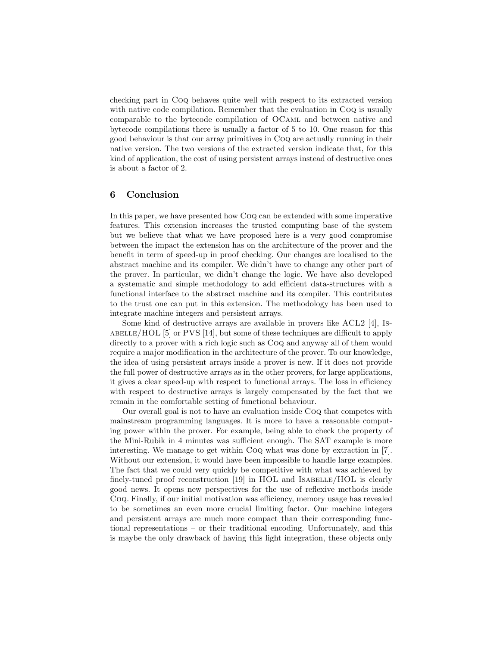checking part in Coq behaves quite well with respect to its extracted version with native code compilation. Remember that the evaluation in CoQ is usually comparable to the bytecode compilation of OCaml and between native and bytecode compilations there is usually a factor of 5 to 10. One reason for this good behaviour is that our array primitives in Coq are actually running in their native version. The two versions of the extracted version indicate that, for this kind of application, the cost of using persistent arrays instead of destructive ones is about a factor of 2.

## 6 Conclusion

In this paper, we have presented how Coq can be extended with some imperative features. This extension increases the trusted computing base of the system but we believe that what we have proposed here is a very good compromise between the impact the extension has on the architecture of the prover and the benefit in term of speed-up in proof checking. Our changes are localised to the abstract machine and its compiler. We didn't have to change any other part of the prover. In particular, we didn't change the logic. We have also developed a systematic and simple methodology to add efficient data-structures with a functional interface to the abstract machine and its compiler. This contributes to the trust one can put in this extension. The methodology has been used to integrate machine integers and persistent arrays.

Some kind of destructive arrays are available in provers like ACL2 [4], Is-ABELLE/HOL  $[5]$  or PVS  $[14]$ , but some of these techniques are difficult to apply directly to a prover with a rich logic such as Coq and anyway all of them would require a major modification in the architecture of the prover. To our knowledge, the idea of using persistent arrays inside a prover is new. If it does not provide the full power of destructive arrays as in the other provers, for large applications, it gives a clear speed-up with respect to functional arrays. The loss in efficiency with respect to destructive arrays is largely compensated by the fact that we remain in the comfortable setting of functional behaviour.

Our overall goal is not to have an evaluation inside Coq that competes with mainstream programming languages. It is more to have a reasonable computing power within the prover. For example, being able to check the property of the Mini-Rubik in 4 minutes was sufficient enough. The SAT example is more interesting. We manage to get within Coq what was done by extraction in [7]. Without our extension, it would have been impossible to handle large examples. The fact that we could very quickly be competitive with what was achieved by finely-tuned proof reconstruction  $[19]$  in HOL and ISABELLE/HOL is clearly good news. It opens new perspectives for the use of reflexive methods inside Coq. Finally, if our initial motivation was efficiency, memory usage has revealed to be sometimes an even more crucial limiting factor. Our machine integers and persistent arrays are much more compact than their corresponding functional representations – or their traditional encoding. Unfortunately, and this is maybe the only drawback of having this light integration, these objects only